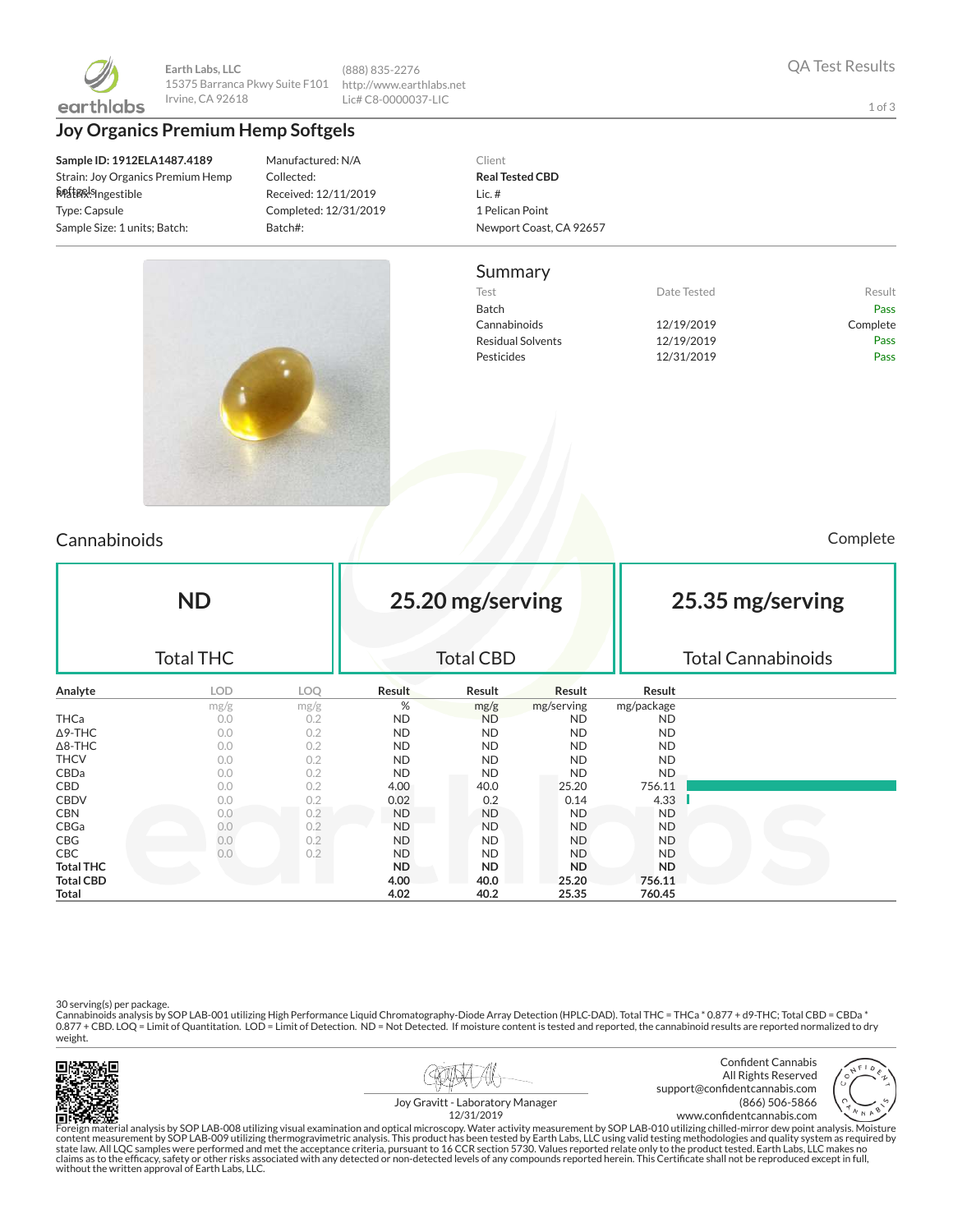

**Earth Labs, LLC** 15375 Barranca Pkwy Suite F101 Irvine, CA 92618

(888) 835-2276 http://www.earthlabs.net Lic# C8-0000037-LIC

# **Joy Organics Premium Hemp Softgels**

**Sample ID: 1912ELA1487.4189** Strain: Joy Organics Premium Hemp Softgels Matrix: Ingestible Type: Capsule Sample Size: 1 units; Batch:

Manufactured: N/A Collected: Received: 12/11/2019 Completed: 12/31/2019 Batch#:

וו

#### Client **Real Tested CBD** Lic. # 1 Pelican Point Newport Coast, CA 92657

#### Summary





### Cannabinoids Complete

| <b>ND</b><br><b>Total THC</b> |            |            |           | 25.20 mg/serving<br><b>Total CBD</b> |            |            | 25.35 mg/serving<br><b>Total Cannabinoids</b> |  |  |
|-------------------------------|------------|------------|-----------|--------------------------------------|------------|------------|-----------------------------------------------|--|--|
| Analyte                       | <b>LOD</b> | <b>LOQ</b> | Result    | Result                               | Result     | Result     |                                               |  |  |
|                               | mg/g       | mg/g       | %         | mg/g                                 | mg/serving | mg/package |                                               |  |  |
| <b>THCa</b>                   | 0.0        | 0.2        | ND        | <b>ND</b>                            | ND.        | <b>ND</b>  |                                               |  |  |
| $\Delta$ 9-THC                | 0.0        | 0.2        | <b>ND</b> | <b>ND</b>                            | ND.        | <b>ND</b>  |                                               |  |  |
| $\Delta$ 8-THC                | 0.0        | 0.2        | ND.       | <b>ND</b>                            | <b>ND</b>  | <b>ND</b>  |                                               |  |  |
| <b>THCV</b>                   | 0.0        | 0.2        | <b>ND</b> | <b>ND</b>                            | <b>ND</b>  | <b>ND</b>  |                                               |  |  |
| CBDa                          | 0.0        | 0.2        | <b>ND</b> | <b>ND</b>                            | <b>ND</b>  | <b>ND</b>  |                                               |  |  |
| CBD                           | 0.0        | 0.2        | 4.00      | 40.0                                 | 25.20      | 756.11     |                                               |  |  |
| <b>CBDV</b>                   | 0.0        | 0.2        | 0.02      | 0.2                                  | 0.14       | 4.33       |                                               |  |  |
| <b>CBN</b>                    | 0.0        | 0.2        | <b>ND</b> | <b>ND</b>                            | ND.        | <b>ND</b>  |                                               |  |  |
| CBGa                          | 0.0        | 0.2        | <b>ND</b> | <b>ND</b>                            | <b>ND</b>  | <b>ND</b>  |                                               |  |  |
| CBG                           | 0.0        | 0.2        | ND.       | <b>ND</b>                            | <b>ND</b>  | ND.        |                                               |  |  |
| <b>CBC</b>                    | 0.0        | 0.2        | ND.       | ND.                                  | <b>ND</b>  | ND.        |                                               |  |  |
| <b>Total THC</b>              |            |            | ND        | ND.                                  | ND.        | ND.        |                                               |  |  |
| <b>Total CBD</b>              |            |            | 4.00      | 40.0                                 | 25.20      | 756.11     |                                               |  |  |
| Total                         |            |            | 4.02      | 40.2                                 | 25.35      | 760.45     |                                               |  |  |

30 serving(s) per package.<br>Cannabinoids analysis by SOP LAB-001 utilizing High Performance Liquid Chromatography-Diode Array Detection (HPLC-DAD). Total THC = THCa \* 0.877 + d9-THC; Total CBD = CBDa \*<br>0.877 + CBD. LOQ = Li weight.







1 of 3

Joy Gravitt - Laboratory Manager 12/31/2019

Foreign material analysis by SOP LAB-008 utilizing visual examination and optical microscopy. Water activity measurement by SOP LAB-010 utilizing chilled-mirror dew point analysis. Moisture<br>state law. All LQC samples were without the written approval of Earth Labs, LLC.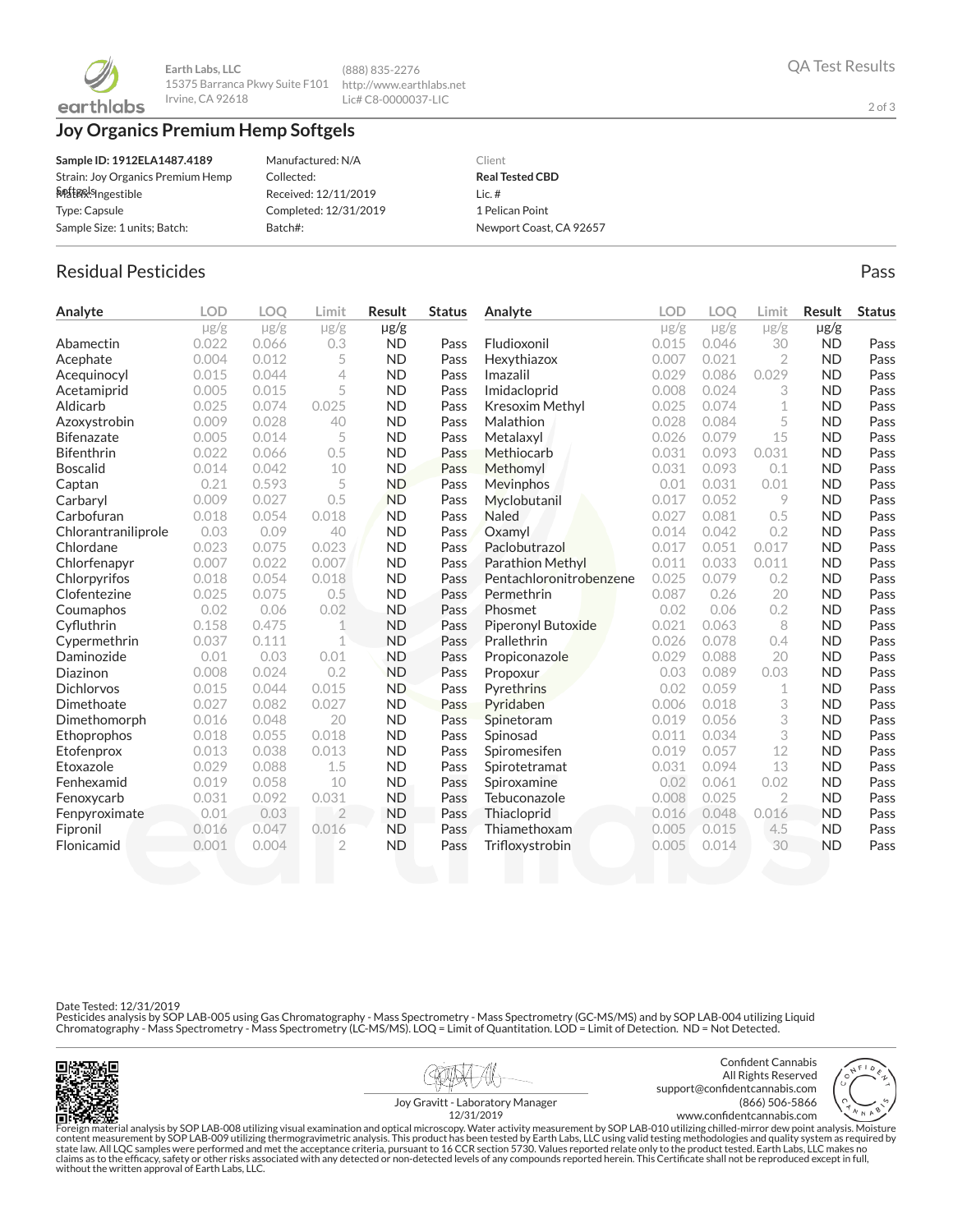

**Earth Labs, LLC** 15375 Barranca Pkwy Suite F101 http://www.earthlabs.net Irvine, CA 92618

(888) 835-2276 Lic# C8-0000037-LIC

# **Joy Organics Premium Hemp Softgels**

| Sample ID: 1912ELA1487.4189       | Manufactured: N/A     | Client                  |
|-----------------------------------|-----------------------|-------------------------|
| Strain: Joy Organics Premium Hemp | Collected:            | <b>Real Tested CBD</b>  |
| <b>MALERRISIngestible</b>         | Received: 12/11/2019  | Lic. $#$                |
| Type: Capsule                     | Completed: 12/31/2019 | 1 Pelican Point         |
| Sample Size: 1 units; Batch:      | Batch#:               | Newport Coast, CA 92657 |

# Residual Pesticides Pass and the extensive part of the extensive part of the extensive pass and the extensive pass

| Analyte             | <b>LOD</b>     | <b>LOO</b> | Limit          | Result    | <b>Status</b> | Analyte                   | LOD       | <b>LOO</b> | Limit          | <b>Result</b> | <b>Status</b> |
|---------------------|----------------|------------|----------------|-----------|---------------|---------------------------|-----------|------------|----------------|---------------|---------------|
|                     | $\mu{\rm g/g}$ | $\mu$ g/g  | $\mu$ g/g      | µg/g      |               |                           | $\mu$ g/g | $\mu$ g/g  | $\mu$ g/g      | $\mu$ g/g     |               |
| Abamectin           | 0.022          | 0.066      | 0.3            | <b>ND</b> | Pass          | Fludioxonil               | 0.015     | 0.046      | 30             | <b>ND</b>     | Pass          |
| Acephate            | 0.004          | 0.012      | 5              | <b>ND</b> | Pass          | Hexythiazox               | 0.007     | 0.021      | $\overline{2}$ | <b>ND</b>     | Pass          |
| Acequinocyl         | 0.015          | 0.044      | 4              | <b>ND</b> | Pass          | Imazalil                  | 0.029     | 0.086      | 0.029          | <b>ND</b>     | Pass          |
| Acetamiprid         | 0.005          | 0.015      | 5              | <b>ND</b> | Pass          | Imidacloprid              | 0.008     | 0.024      | 3              | <b>ND</b>     | Pass          |
| Aldicarb            | 0.025          | 0.074      | 0.025          | <b>ND</b> | Pass          | Kresoxim Methyl           | 0.025     | 0.074      | 1              | <b>ND</b>     | Pass          |
| Azoxystrobin        | 0.009          | 0.028      | 40             | <b>ND</b> | Pass          | Malathion                 | 0.028     | 0.084      | 5              | <b>ND</b>     | Pass          |
| <b>Bifenazate</b>   | 0.005          | 0.014      | 5              | <b>ND</b> | Pass          | Metalaxyl                 | 0.026     | 0.079      | 15             | <b>ND</b>     | Pass          |
| <b>Bifenthrin</b>   | 0.022          | 0.066      | 0.5            | <b>ND</b> | Pass          | Methiocarb                | 0.031     | 0.093      | 0.031          | <b>ND</b>     | Pass          |
| <b>Boscalid</b>     | 0.014          | 0.042      | 10             | <b>ND</b> | Pass          | Methomyl                  | 0.031     | 0.093      | 0.1            | <b>ND</b>     | Pass          |
| Captan              | 0.21           | 0.593      | 5              | <b>ND</b> | Pass          | Mevinphos                 | 0.01      | 0.031      | 0.01           | <b>ND</b>     | Pass          |
| Carbaryl            | 0.009          | 0.027      | 0.5            | <b>ND</b> | Pass          | Myclobutanil              | 0.017     | 0.052      | 9              | <b>ND</b>     | Pass          |
| Carbofuran          | 0.018          | 0.054      | 0.018          | <b>ND</b> | Pass          | <b>Naled</b>              | 0.027     | 0.081      | 0.5            | <b>ND</b>     | Pass          |
| Chlorantraniliprole | 0.03           | 0.09       | 40             | <b>ND</b> | Pass          | Oxamyl                    | 0.014     | 0.042      | 0.2            | <b>ND</b>     | Pass          |
| Chlordane           | 0.023          | 0.075      | 0.023          | <b>ND</b> | Pass          | Paclobutrazol             | 0.017     | 0.051      | 0.017          | <b>ND</b>     | Pass          |
| Chlorfenapyr        | 0.007          | 0.022      | 0.007          | <b>ND</b> | Pass          | <b>Parathion Methyl</b>   | 0.011     | 0.033      | 0.011          | <b>ND</b>     | Pass          |
| Chlorpyrifos        | 0.018          | 0.054      | 0.018          | <b>ND</b> | Pass          | Pentachloronitrobenzene   | 0.025     | 0.079      | 0.2            | <b>ND</b>     | Pass          |
| Clofentezine        | 0.025          | 0.075      | 0.5            | <b>ND</b> | Pass          | Permethrin                | 0.087     | 0.26       | 20             | <b>ND</b>     | Pass          |
| Coumaphos           | 0.02           | 0.06       | 0.02           | <b>ND</b> | Pass          | Phosmet                   | 0.02      | 0.06       | 0.2            | <b>ND</b>     | Pass          |
| Cyfluthrin          | 0.158          | 0.475      | 1              | <b>ND</b> | Pass          | <b>Piperonyl Butoxide</b> | 0.021     | 0.063      | 8              | <b>ND</b>     | Pass          |
| Cypermethrin        | 0.037          | 0.111      | 1              | <b>ND</b> | Pass          | Prallethrin               | 0.026     | 0.078      | 0.4            | <b>ND</b>     | Pass          |
| Daminozide          | 0.01           | 0.03       | 0.01           | <b>ND</b> | Pass          | Propiconazole             | 0.029     | 0.088      | 20             | <b>ND</b>     | Pass          |
| Diazinon            | 0.008          | 0.024      | 0.2            | <b>ND</b> | Pass          | Propoxur                  | 0.03      | 0.089      | 0.03           | <b>ND</b>     | Pass          |
| <b>Dichlorvos</b>   | 0.015          | 0.044      | 0.015          | <b>ND</b> | Pass          | Pyrethrins                | 0.02      | 0.059      | 1              | <b>ND</b>     | Pass          |
| Dimethoate          | 0.027          | 0.082      | 0.027          | <b>ND</b> | Pass          | Pyridaben                 | 0.006     | 0.018      | 3              | <b>ND</b>     | Pass          |
| Dimethomorph        | 0.016          | 0.048      | 20             | <b>ND</b> | Pass          | Spinetoram                | 0.019     | 0.056      | 3              | <b>ND</b>     | Pass          |
| Ethoprophos         | 0.018          | 0.055      | 0.018          | <b>ND</b> | Pass          | Spinosad                  | 0.011     | 0.034      | 3              | <b>ND</b>     | Pass          |
| Etofenprox          | 0.013          | 0.038      | 0.013          | <b>ND</b> | Pass          | Spiromesifen              | 0.019     | 0.057      | 12             | <b>ND</b>     | Pass          |
| Etoxazole           | 0.029          | 0.088      | 1.5            | <b>ND</b> | Pass          | Spirotetramat             | 0.031     | 0.094      | 13             | <b>ND</b>     | Pass          |
| Fenhexamid          | 0.019          | 0.058      | 10             | <b>ND</b> | Pass          | Spiroxamine               | 0.02      | 0.061      | 0.02           | <b>ND</b>     | Pass          |
| Fenoxycarb          | 0.031          | 0.092      | 0.031          | <b>ND</b> | Pass          | Tebuconazole              | 0.008     | 0.025      | $\overline{2}$ | <b>ND</b>     | Pass          |
| Fenpyroximate       | 0.01           | 0.03       | $\overline{2}$ | <b>ND</b> | Pass          | Thiacloprid               | 0.016     | 0.048      | 0.016          | <b>ND</b>     | Pass          |
| Fipronil            | 0.016          | 0.047      | 0.016          | <b>ND</b> | Pass          | Thiamethoxam              | 0.005     | 0.015      | 4.5            | <b>ND</b>     | Pass          |
| Flonicamid          | 0.001          | 0.004      | $\overline{2}$ | <b>ND</b> | Pass          | Trifloxystrobin           | 0.005     | 0.014      | 30             | <b>ND</b>     | Pass          |
|                     |                |            |                |           |               |                           |           |            |                |               |               |

Date Tested: 12/31/2019

Pesticides analysis by SOP LAB-005 using Gas Chromatography - Mass Spectrometry - Mass Spectrometry (GC-MS/MS) and by SOP LAB-004 utilizing Liquid<br>Chromatography - Mass Spectrometry - Mass Spectrometry (LC-MS/MS). LOQ = Li



11)



2 of 3

Joy Gravitt - Laboratory Manager

Foreign material analysis by SOP LAB-008 utilizing visual examination and optical microscopy. Water activity measurement by SOP LAB-010 utilizing chilled-mirror dew point analysis. Moisture<br>state law. All LQC samples were without the written approval of Earth Labs, LLC. www.confidentcannabis.com 12/31/2019